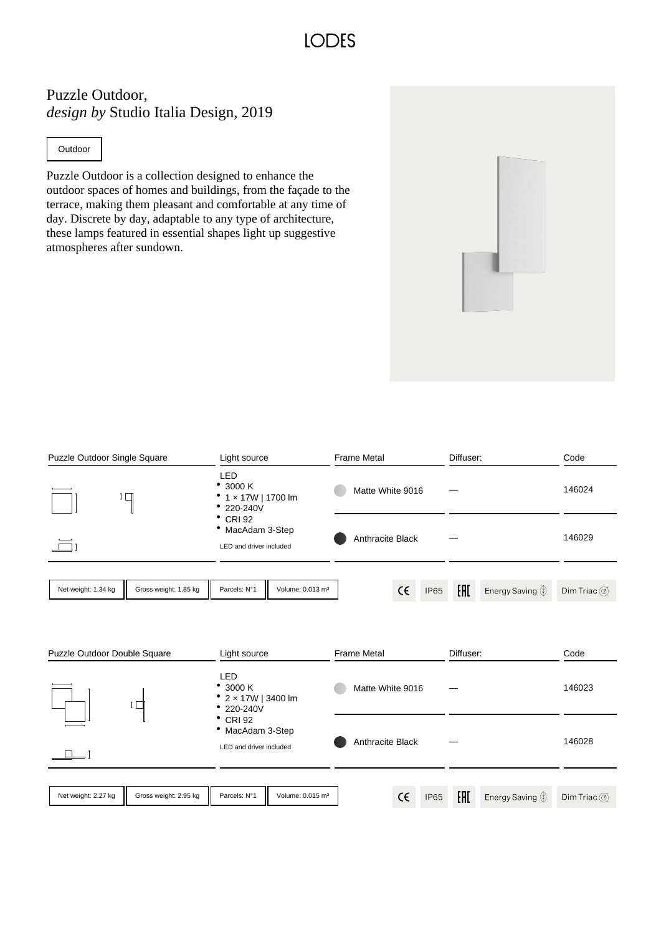## **IODES**

## Puzzle Outdoor, *design by* Studio Italia Design, 2019

**Outdoor** 

Puzzle Outdoor is a collection designed to enhance the outdoor spaces of homes and buildings, from the façade to the terrace, making them pleasant and comfortable at any time of day. Discrete by day, adaptable to any type of architecture, these lamps featured in essential shapes light up suggestive atmospheres after sundown.



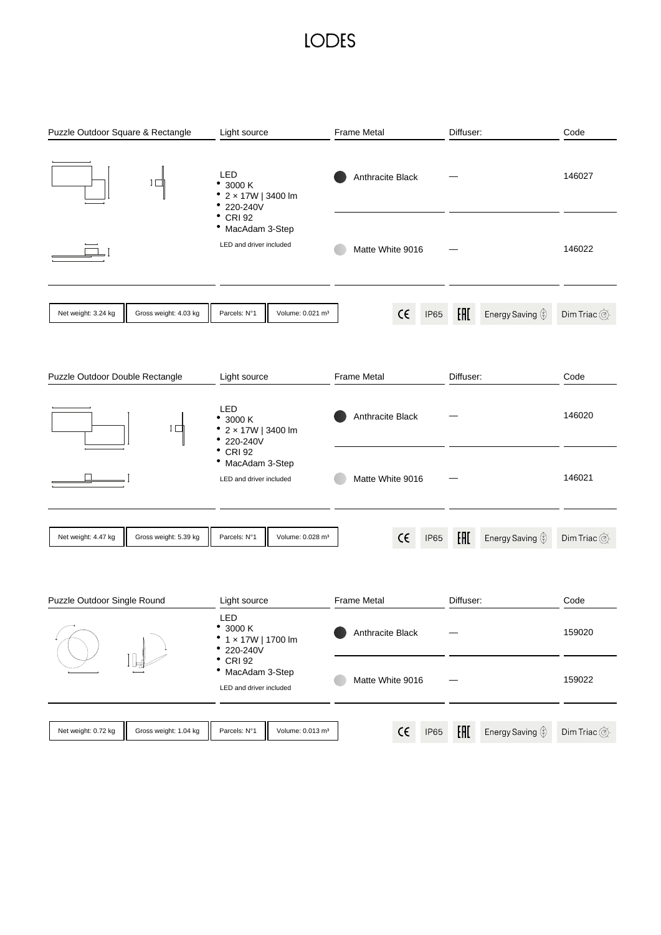## **LODES**

| Puzzle Outdoor Square & Rectangle            | Light source                                                       |                    | Diffuser:                               | Code                                             |
|----------------------------------------------|--------------------------------------------------------------------|--------------------|-----------------------------------------|--------------------------------------------------|
| ⊥∟                                           | LED<br>• 3000 K<br>• $2 \times 17W$   3400 lm<br>220-240V          | Anthracite Black   |                                         | 146027                                           |
|                                              | $^{\bullet}$ CRI 92<br>• MacAdam 3-Step<br>LED and driver included | Matte White 9016   |                                         | 146022                                           |
| Net weight: 3.24 kg<br>Gross weight: 4.03 kg | Volume: 0.021 m <sup>3</sup><br>Parcels: N°1                       | $\epsilon$<br>IP65 | H1<br>Energy Saving $\mathcal{D}$       | Dim Triac $\circledcirc$                         |
| Puzzle Outdoor Double Rectangle              | Light source                                                       | <b>Frame Metal</b> | Diffuser:                               | Code                                             |
| [ □                                          | LED<br>• 3000 K<br>• $2 \times 17W$   3400 lm<br>220-240V          | Anthracite Black   |                                         | 146020                                           |
|                                              | $^{\bullet}$ CRI 92<br>• MacAdam 3-Step<br>LED and driver included | Matte White 9016   |                                         | 146021                                           |
| Net weight: 4.47 kg<br>Gross weight: 5.39 kg | Parcels: N°1<br>Volume: 0.028 m <sup>3</sup>                       | $\epsilon$<br>IP65 | H1<br>Energy Saving $\circledDownarrow$ | Dim Triac $\overline{\textcircled{\tiny \odot}}$ |
| Puzzle Outdoor Single Round                  | Light source                                                       | Frame Metal        | Diffuser:                               | Code                                             |
|                                              | LED<br>٠<br>3000 K<br>1 x 17W   1700 lm<br>220-240V                | Anthracite Black   |                                         | 159020                                           |
|                                              | <b>CRI 92</b><br>• MacAdam 3-Step<br>LED and driver included       | Matte White 9016   |                                         | 159022                                           |
| Net weight: 0.72 kg<br>Gross weight: 1.04 kg | Volume: 0.013 m <sup>3</sup><br>Parcels: N°1                       | $\epsilon$<br>IP65 | H1<br>Energy Saving $\circledDownarrow$ | Dim Triac $\overline{\textcircled{\tiny \odot}}$ |